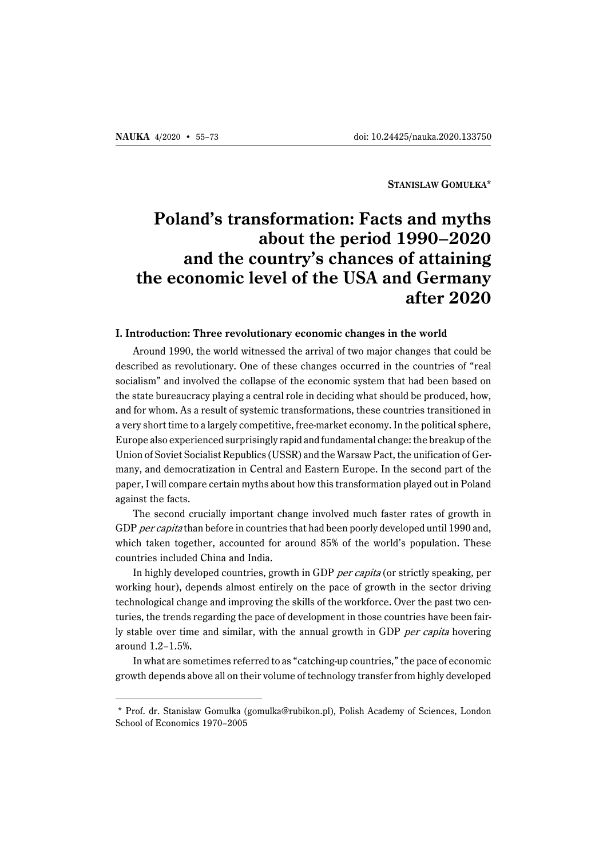**STANISLAW GOMUŁKA\***

# **Poland's transformation: Facts and myths about the period 1990–2020 and the country's chances of attaining the economic level of the USA and Germany after 2020**

#### **I. Introduction: Three revolutionary economic changes in the world**

Around 1990, the world witnessed the arrival of two major changes that could be described as revolutionary. One of these changes occurred in the countries of "real socialism" and involved the collapse of the economic system that had been based on the state bureaucracy playing a central role in deciding what should be produced, how, and for whom. As a result of systemic transformations, these countries transitioned in a very short time to a largely competitive, free-market economy. In the political sphere, Europe also experienced surprisingly rapid and fundamental change: the breakup of the Union of Soviet Socialist Republics (USSR) and the Warsaw Pact, the unification of Germany, and democratization in Central and Eastern Europe. In the second part of the paper, I will compare certain myths about how this transformation played out in Poland against the facts.

The second crucially important change involved much faster rates of growth in GDP per capita than before in countries that had been poorly developed until 1990 and, which taken together, accounted for around 85% of the world's population. These countries included China and India.

In highly developed countries, growth in GDP per capita (or strictly speaking, per working hour), depends almost entirely on the pace of growth in the sector driving technological change and improving the skills of the workforce. Over the past two centuries, the trends regarding the pace of development in those countries have been fairly stable over time and similar, with the annual growth in GDP per capita hovering around 1.2–1.5%.

In what are sometimes referred to as "catching-up countries," the pace of economic growth depends above all on their volume of technology transfer from highly developed

<sup>\*</sup> Prof. dr. Stanisław Gomułka (gomulka@rubikon.pl), Polish Academy of Sciences, London School of Economics 1970–2005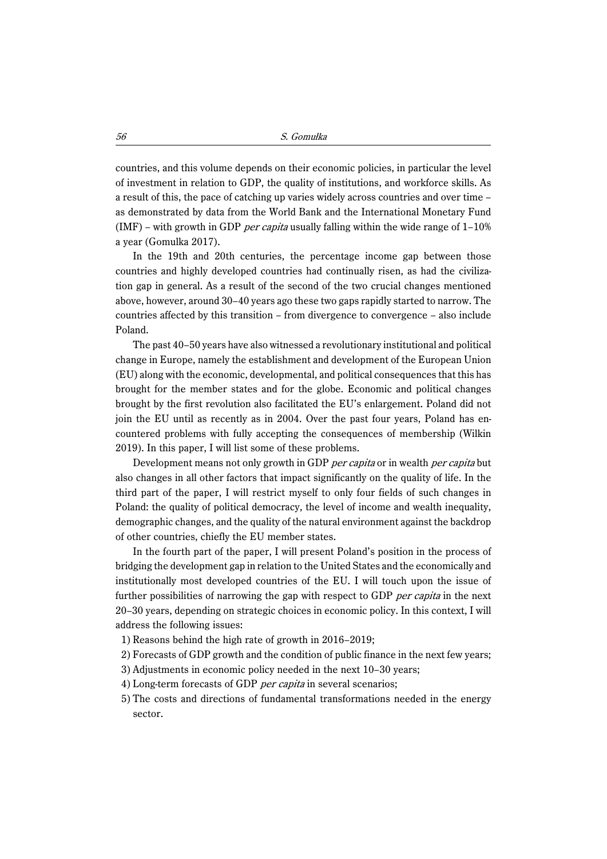countries, and this volume depends on their economic policies, in particular the level of investment in relation to GDP, the quality of institutions, and workforce skills. As a result of this, the pace of catching up varies widely across countries and over time – as demonstrated by data from the World Bank and the International Monetary Fund (IMF) – with growth in GDP per capita usually falling within the wide range of  $1-10\%$ a year (Gomulka 2017).

In the 19th and 20th centuries, the percentage income gap between those countries and highly developed countries had continually risen, as had the civilization gap in general. As a result of the second of the two crucial changes mentioned above, however, around 30–40 years ago these two gaps rapidly started to narrow. The countries affected by this transition – from divergence to convergence – also include Poland.

The past 40–50 years have also witnessed a revolutionary institutional and political change in Europe, namely the establishment and development of the European Union (EU) along with the economic, developmental, and political consequences that this has brought for the member states and for the globe. Economic and political changes brought by the first revolution also facilitated the EU's enlargement. Poland did not join the EU until as recently as in 2004. Over the past four years, Poland has encountered problems with fully accepting the consequences of membership (Wilkin 2019). In this paper, I will list some of these problems.

Development means not only growth in GDP per capita or in wealth per capita but also changes in all other factors that impact significantly on the quality of life. In the third part of the paper, I will restrict myself to only four fields of such changes in Poland: the quality of political democracy, the level of income and wealth inequality, demographic changes, and the quality of the natural environment against the backdrop of other countries, chiefly the EU member states.

In the fourth part of the paper, I will present Poland's position in the process of bridging the development gap in relation to the United States and the economically and institutionally most developed countries of the EU. I will touch upon the issue of further possibilities of narrowing the gap with respect to GDP *per capita* in the next 20–30 years, depending on strategic choices in economic policy. In this context, I will address the following issues:

- 1) Reasons behind the high rate of growth in 2016–2019;
- 2) Forecasts of GDP growth and the condition of public finance in the next few years;
- 3) Adjustments in economic policy needed in the next 10–30 years;
- 4) Long-term forecasts of GDP per capita in several scenarios;
- 5) The costs and directions of fundamental transformations needed in the energy sector.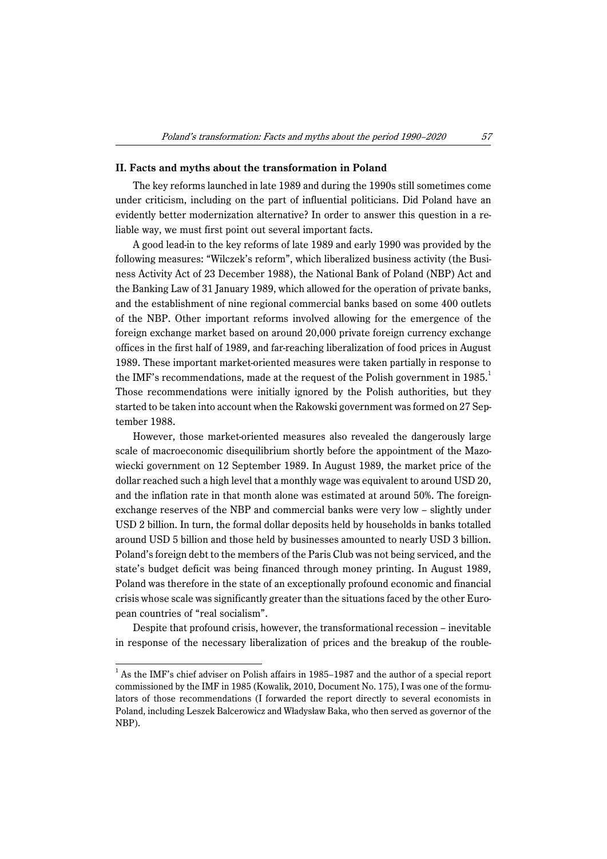#### **II. Facts and myths about the transformation in Poland**

The key reforms launched in late 1989 and during the 1990s still sometimes come under criticism, including on the part of influential politicians. Did Poland have an evidently better modernization alternative? In order to answer this question in a reliable way, we must first point out several important facts.

A good lead-in to the key reforms of late 1989 and early 1990 was provided by the following measures: "Wilczek's reform", which liberalized business activity (the Business Activity Act of 23 December 1988), the National Bank of Poland (NBP) Act and the Banking Law of 31 January 1989, which allowed for the operation of private banks, and the establishment of nine regional commercial banks based on some 400 outlets of the NBP. Other important reforms involved allowing for the emergence of the foreign exchange market based on around 20,000 private foreign currency exchange offices in the first half of 1989, and far-reaching liberalization of food prices in August 1989. These important market-oriented measures were taken partially in response to the IMF's recommendations, made at the request of the Polish government in  $1985<sup>1</sup>$ Those recommendations were initially ignored by the Polish authorities, but they started to be taken into account when the Rakowski government was formed on 27 September 1988.

However, those market-oriented measures also revealed the dangerously large scale of macroeconomic disequilibrium shortly before the appointment of the Mazowiecki government on 12 September 1989. In August 1989, the market price of the dollar reached such a high level that a monthly wage was equivalent to around USD 20, and the inflation rate in that month alone was estimated at around 50%. The foreignexchange reserves of the NBP and commercial banks were very low – slightly under USD 2 billion. In turn, the formal dollar deposits held by households in banks totalled around USD 5 billion and those held by businesses amounted to nearly USD 3 billion. Poland's foreign debt to the members of the Paris Club was not being serviced, and the state's budget deficit was being financed through money printing. In August 1989, Poland was therefore in the state of an exceptionally profound economic and financial crisis whose scale was significantly greater than the situations faced by the other European countries of "real socialism".

Despite that profound crisis, however, the transformational recession – inevitable in response of the necessary liberalization of prices and the breakup of the rouble-

<sup>&</sup>lt;sup>1</sup> As the IMF's chief adviser on Polish affairs in 1985–1987 and the author of a special report commissioned by the IMF in 1985 (Kowalik, 2010, Document No. 175), I was one of the formulators of those recommendations (I forwarded the report directly to several economists in Poland, including Leszek Balcerowicz and Władysław Baka, who then served as governor of the NBP).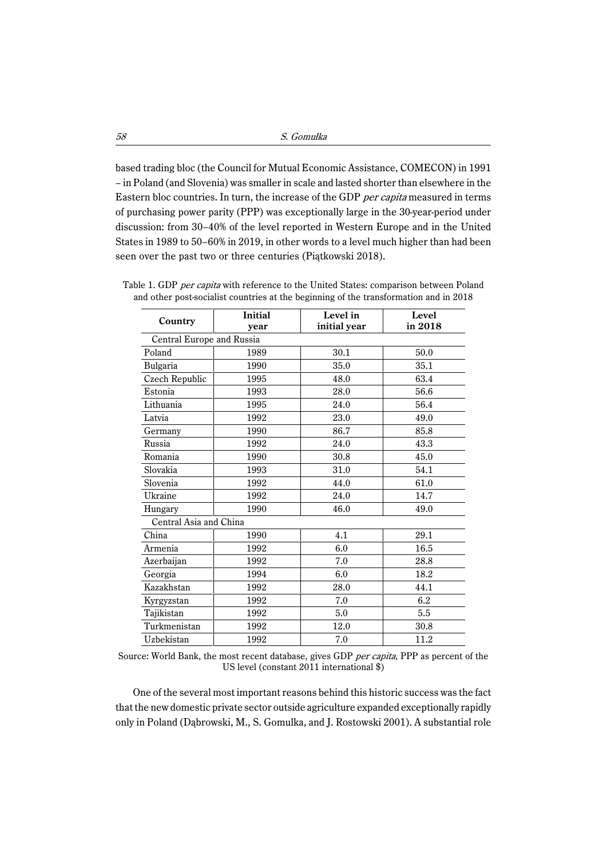based trading bloc (the Council for Mutual Economic Assistance, COMECON) in 1991 – in Poland (and Slovenia) was smaller in scale and lasted shorter than elsewhere in the Eastern bloc countries. In turn, the increase of the GDP per capita measured in terms of purchasing power parity (PPP) was exceptionally large in the 30-year-period under discussion: from 30–40% of the level reported in Western Europe and in the United States in 1989 to 50–60% in 2019, in other words to a level much higher than had been seen over the past two or three centuries (Piątkowski 2018).

| Country                   | Initial<br>year | Level in<br>initial year | Level<br>in 2018 |  |
|---------------------------|-----------------|--------------------------|------------------|--|
| Central Europe and Russia |                 |                          |                  |  |
| Poland                    | 1989            | 30.1                     | 50.0             |  |
| Bulgaria                  | 1990            | 35.0                     | 35.1             |  |
| Czech Republic            | 1995            | 48.0                     | 63.4             |  |
| Estonia                   | 1993            | 28.0                     | 56.6             |  |
| Lithuania                 | 1995            | 24.0                     | 56.4             |  |
| Latvia                    | 1992            | 23.0                     | 49.0             |  |
| Germany                   | 1990            | 86.7                     | 85.8             |  |
| Russia                    | 1992            | 24.0                     | 43.3             |  |
| Romania                   | 1990            | 30.8                     | 45.0             |  |
| Slovakia                  | 1993            | 31.0                     | 54.1             |  |
| Slovenia                  | 1992            | 44.0                     | 61.0             |  |
| Ukraine                   | 1992            | 24.0                     | 14.7             |  |
| Hungary                   | 1990            | 46.0                     | 49.0             |  |
| Central Asia and China    |                 |                          |                  |  |
| China                     | 1990            | 4.1                      | 29.1             |  |
| Armenia                   | 1992            | 6.0                      | 16.5             |  |
| Azerbaijan                | 1992            | 7.0                      | 28.8             |  |
| Georgia                   | 1994            | 6.0                      | 18.2             |  |
| Kazakhstan                | 1992            | 28.0                     | 44.1             |  |
| Kyrgyzstan                | 1992            | 7.0                      | 6.2              |  |
| Tajikistan                | 1992            | 5.0                      | 5.5              |  |
| Turkmenistan              | 1992            | 12.0                     | 30.8             |  |
| Uzbekistan                | 1992            | 7.0                      | 11.2             |  |

Table 1. GDP per capita with reference to the United States: comparison between Poland and other post-socialist countries at the beginning of the transformation and in 2018

Source: World Bank, the most recent database, gives GDP per capita, PPP as percent of the US level (constant 2011 international \$)

One of the several most important reasons behind this historic success was the fact that the new domestic private sector outside agriculture expanded exceptionally rapidly only in Poland (Dąbrowski, M., S. Gomulka, and J. Rostowski 2001). A substantial role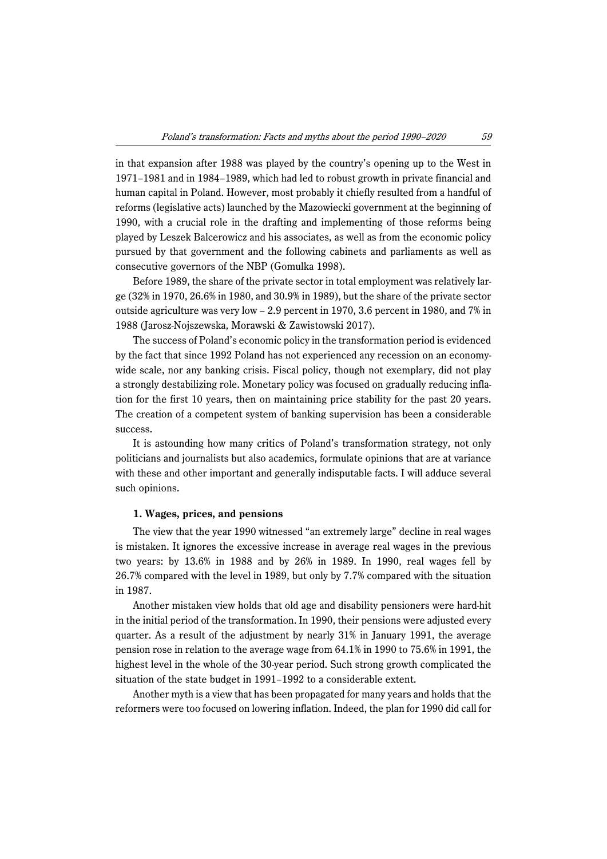in that expansion after 1988 was played by the country's opening up to the West in 1971–1981 and in 1984–1989, which had led to robust growth in private financial and human capital in Poland. However, most probably it chiefly resulted from a handful of reforms (legislative acts) launched by the Mazowiecki government at the beginning of 1990, with a crucial role in the drafting and implementing of those reforms being played by Leszek Balcerowicz and his associates, as well as from the economic policy pursued by that government and the following cabinets and parliaments as well as consecutive governors of the NBP (Gomulka 1998).

Before 1989, the share of the private sector in total employment was relatively large (32% in 1970, 26.6% in 1980, and 30.9% in 1989), but the share of the private sector outside agriculture was very low  $-2.9$  percent in 1970, 3.6 percent in 1980, and 7% in 1988 (Jarosz-Nojszewska, Morawski & Zawistowski 2017).

The success of Poland's economic policy in the transformation period is evidenced by the fact that since 1992 Poland has not experienced any recession on an economywide scale, nor any banking crisis. Fiscal policy, though not exemplary, did not play a strongly destabilizing role. Monetary policy was focused on gradually reducing inflation for the first 10 years, then on maintaining price stability for the past 20 years. The creation of a competent system of banking supervision has been a considerable success.

It is astounding how many critics of Poland's transformation strategy, not only politicians and journalists but also academics, formulate opinions that are at variance with these and other important and generally indisputable facts. I will adduce several such opinions.

#### **1. Wages, prices, and pensions**

The view that the year 1990 witnessed "an extremely large" decline in real wages is mistaken. It ignores the excessive increase in average real wages in the previous two years: by 13.6% in 1988 and by 26% in 1989. In 1990, real wages fell by 26.7% compared with the level in 1989, but only by 7.7% compared with the situation in 1987.

Another mistaken view holds that old age and disability pensioners were hard-hit in the initial period of the transformation. In 1990, their pensions were adjusted every quarter. As a result of the adjustment by nearly 31% in January 1991, the average pension rose in relation to the average wage from 64.1% in 1990 to 75.6% in 1991, the highest level in the whole of the 30-year period. Such strong growth complicated the situation of the state budget in 1991–1992 to a considerable extent.

Another myth is a view that has been propagated for many years and holds that the reformers were too focused on lowering inflation. Indeed, the plan for 1990 did call for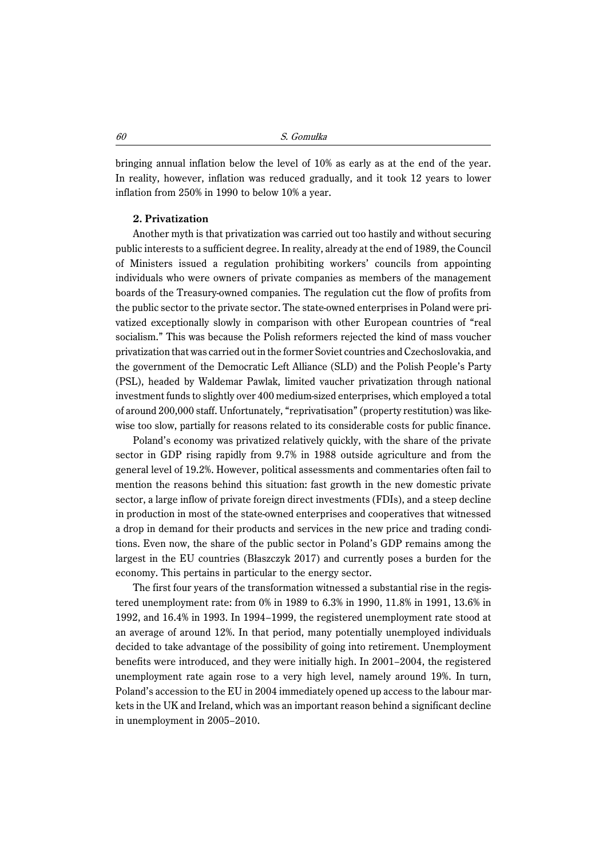bringing annual inflation below the level of 10% as early as at the end of the year. In reality, however, inflation was reduced gradually, and it took 12 years to lower inflation from 250% in 1990 to below 10% a year.

#### **2. Privatization**

Another myth is that privatization was carried out too hastily and without securing public interests to a sufficient degree. In reality, already at the end of 1989, the Council of Ministers issued a regulation prohibiting workers' councils from appointing individuals who were owners of private companies as members of the management boards of the Treasury-owned companies. The regulation cut the flow of profits from the public sector to the private sector. The state-owned enterprises in Poland were privatized exceptionally slowly in comparison with other European countries of "real socialism." This was because the Polish reformers rejected the kind of mass voucher privatization that was carried out in the former Soviet countries and Czechoslovakia, and the government of the Democratic Left Alliance (SLD) and the Polish People's Party (PSL), headed by Waldemar Pawlak, limited vaucher privatization through national investment funds to slightly over 400 medium-sized enterprises, which employed a total of around 200,000 staff. Unfortunately, "reprivatisation" (property restitution) was likewise too slow, partially for reasons related to its considerable costs for public finance.

Poland's economy was privatized relatively quickly, with the share of the private sector in GDP rising rapidly from 9.7% in 1988 outside agriculture and from the general level of 19.2%. However, political assessments and commentaries often fail to mention the reasons behind this situation: fast growth in the new domestic private sector, a large inflow of private foreign direct investments (FDIs), and a steep decline in production in most of the state-owned enterprises and cooperatives that witnessed a drop in demand for their products and services in the new price and trading conditions. Even now, the share of the public sector in Poland's GDP remains among the largest in the EU countries (Błaszczyk 2017) and currently poses a burden for the economy. This pertains in particular to the energy sector.

The first four years of the transformation witnessed a substantial rise in the registered unemployment rate: from 0% in 1989 to 6.3% in 1990, 11.8% in 1991, 13.6% in 1992, and 16.4% in 1993. In 1994–1999, the registered unemployment rate stood at an average of around 12%. In that period, many potentially unemployed individuals decided to take advantage of the possibility of going into retirement. Unemployment benefits were introduced, and they were initially high. In 2001–2004, the registered unemployment rate again rose to a very high level, namely around 19%. In turn, Poland's accession to the EU in 2004 immediately opened up access to the labour markets in the UK and Ireland, which was an important reason behind a significant decline in unemployment in 2005–2010.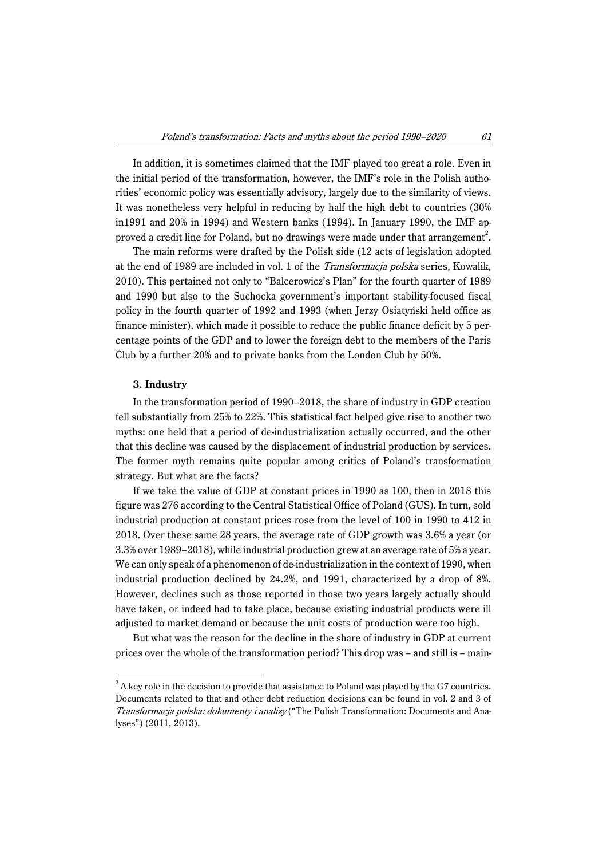In addition, it is sometimes claimed that the IMF played too great a role. Even in the initial period of the transformation, however, the IMF's role in the Polish authorities' economic policy was essentially advisory, largely due to the similarity of views. It was nonetheless very helpful in reducing by half the high debt to countries (30% in1991 and 20% in 1994) and Western banks (1994). In January 1990, the IMF approved a credit line for Poland, but no drawings were made under that arrangement<sup>2</sup>.

The main reforms were drafted by the Polish side (12 acts of legislation adopted at the end of 1989 are included in vol. 1 of the Transformacja polska series, Kowalik, 2010). This pertained not only to "Balcerowicz's Plan" for the fourth quarter of 1989 and 1990 but also to the Suchocka government's important stability-focused fiscal policy in the fourth quarter of 1992 and 1993 (when Jerzy Osiatyński held office as finance minister), which made it possible to reduce the public finance deficit by 5 percentage points of the GDP and to lower the foreign debt to the members of the Paris Club by a further 20% and to private banks from the London Club by 50%.

## **3. Industry**

In the transformation period of 1990–2018, the share of industry in GDP creation fell substantially from 25% to 22%. This statistical fact helped give rise to another two myths: one held that a period of de-industrialization actually occurred, and the other that this decline was caused by the displacement of industrial production by services. The former myth remains quite popular among critics of Poland's transformation strategy. But what are the facts?

If we take the value of GDP at constant prices in 1990 as 100, then in 2018 this figure was 276 according to the Central Statistical Office of Poland (GUS). In turn, sold industrial production at constant prices rose from the level of 100 in 1990 to 412 in 2018. Over these same 28 years, the average rate of GDP growth was 3.6% a year (or 3.3% over 1989–2018), while industrial production grew at an average rate of 5% a year. We can only speak of a phenomenon of de-industrialization in the context of 1990, when industrial production declined by 24.2%, and 1991, characterized by a drop of 8%. However, declines such as those reported in those two years largely actually should have taken, or indeed had to take place, because existing industrial products were ill adjusted to market demand or because the unit costs of production were too high.

But what was the reason for the decline in the share of industry in GDP at current prices over the whole of the transformation period? This drop was – and still is – main-

 $2^2$  A key role in the decision to provide that assistance to Poland was played by the G7 countries. Documents related to that and other debt reduction decisions can be found in vol. 2 and 3 of Transformacja polska: dokumenty i analizy ("The Polish Transformation: Documents and Analyses") (2011, 2013).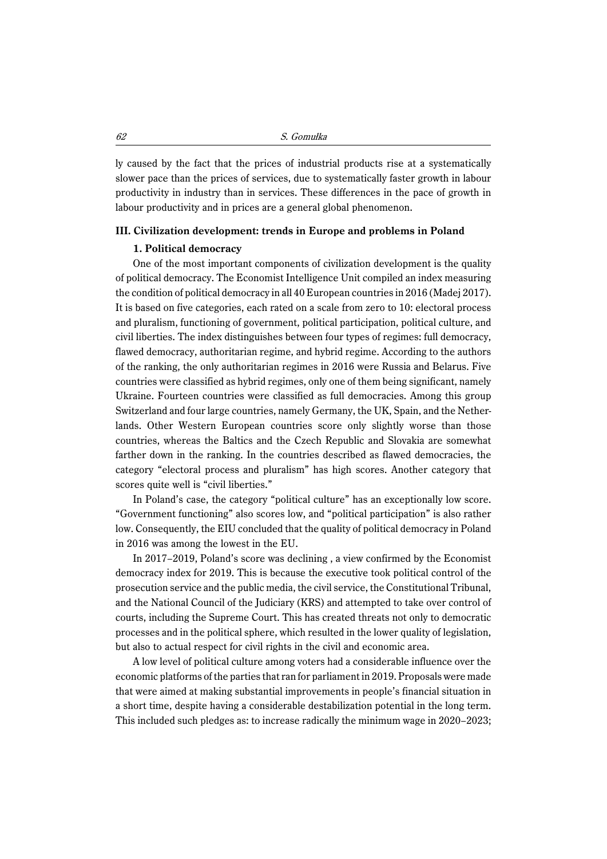ly caused by the fact that the prices of industrial products rise at a systematically slower pace than the prices of services, due to systematically faster growth in labour productivity in industry than in services. These differences in the pace of growth in labour productivity and in prices are a general global phenomenon.

#### **III. Civilization development: trends in Europe and problems in Poland**

#### **1. Political democracy**

One of the most important components of civilization development is the quality of political democracy. The Economist Intelligence Unit compiled an index measuring the condition of political democracy in all 40 European countries in 2016 (Madej 2017). It is based on five categories, each rated on a scale from zero to 10: electoral process and pluralism, functioning of government, political participation, political culture, and civil liberties. The index distinguishes between four types of regimes: full democracy, flawed democracy, authoritarian regime, and hybrid regime. According to the authors of the ranking, the only authoritarian regimes in 2016 were Russia and Belarus. Five countries were classified as hybrid regimes, only one of them being significant, namely Ukraine. Fourteen countries were classified as full democracies. Among this group Switzerland and four large countries, namely Germany, the UK, Spain, and the Netherlands. Other Western European countries score only slightly worse than those countries, whereas the Baltics and the Czech Republic and Slovakia are somewhat farther down in the ranking. In the countries described as flawed democracies, the category "electoral process and pluralism" has high scores. Another category that scores quite well is "civil liberties."

In Poland's case, the category "political culture" has an exceptionally low score. "Government functioning" also scores low, and "political participation" is also rather low. Consequently, the EIU concluded that the quality of political democracy in Poland in 2016 was among the lowest in the EU.

In 2017–2019, Poland's score was declining , a view confirmed by the Economist democracy index for 2019. This is because the executive took political control of the prosecution service and the public media, the civil service, the Constitutional Tribunal, and the National Council of the Judiciary (KRS) and attempted to take over control of courts, including the Supreme Court. This has created threats not only to democratic processes and in the political sphere, which resulted in the lower quality of legislation, but also to actual respect for civil rights in the civil and economic area.

A low level of political culture among voters had a considerable influence over the economic platforms of the parties that ran for parliament in 2019. Proposals were made that were aimed at making substantial improvements in people's financial situation in a short time, despite having a considerable destabilization potential in the long term. This included such pledges as: to increase radically the minimum wage in 2020–2023;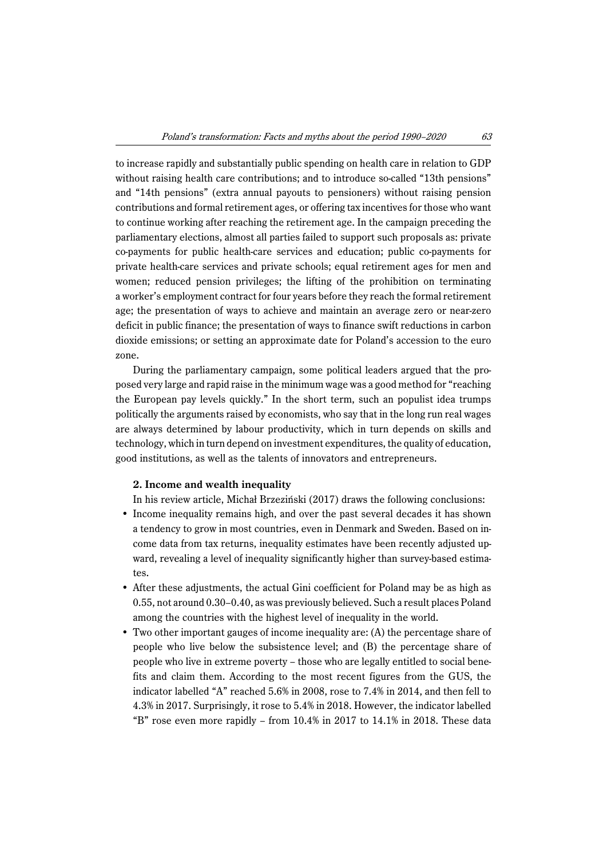to increase rapidly and substantially public spending on health care in relation to GDP without raising health care contributions; and to introduce so-called "13th pensions" and "14th pensions" (extra annual payouts to pensioners) without raising pension contributions and formal retirement ages, or offering tax incentives for those who want to continue working after reaching the retirement age. In the campaign preceding the parliamentary elections, almost all parties failed to support such proposals as: private co-payments for public health-care services and education; public co-payments for private health-care services and private schools; equal retirement ages for men and women; reduced pension privileges; the lifting of the prohibition on terminating a worker's employment contract for four years before they reach the formal retirement age; the presentation of ways to achieve and maintain an average zero or near-zero deficit in public finance; the presentation of ways to finance swift reductions in carbon dioxide emissions; or setting an approximate date for Poland's accession to the euro zone.

During the parliamentary campaign, some political leaders argued that the proposed very large and rapid raise in the minimum wage was a good method for "reaching the European pay levels quickly." In the short term, such an populist idea trumps politically the arguments raised by economists, who say that in the long run real wages are always determined by labour productivity, which in turn depends on skills and technology, which in turn depend on investment expenditures, the quality of education, good institutions, as well as the talents of innovators and entrepreneurs.

## **2. Income and wealth inequality**

In his review article, Michał Brzeziński (2017) draws the following conclusions:

- Income inequality remains high, and over the past several decades it has shown a tendency to grow in most countries, even in Denmark and Sweden. Based on income data from tax returns, inequality estimates have been recently adjusted upward, revealing a level of inequality significantly higher than survey-based estimates.
- After these adjustments, the actual Gini coefficient for Poland may be as high as 0.55, not around 0.30–0.40, as was previously believed. Such a result places Poland among the countries with the highest level of inequality in the world.
- Two other important gauges of income inequality are: (A) the percentage share of people who live below the subsistence level; and (B) the percentage share of people who live in extreme poverty – those who are legally entitled to social benefits and claim them. According to the most recent figures from the GUS, the indicator labelled "A" reached 5.6% in 2008, rose to 7.4% in 2014, and then fell to 4.3% in 2017. Surprisingly, it rose to 5.4% in 2018. However, the indicator labelled "B" rose even more rapidly – from  $10.4\%$  in 2017 to 14.1% in 2018. These data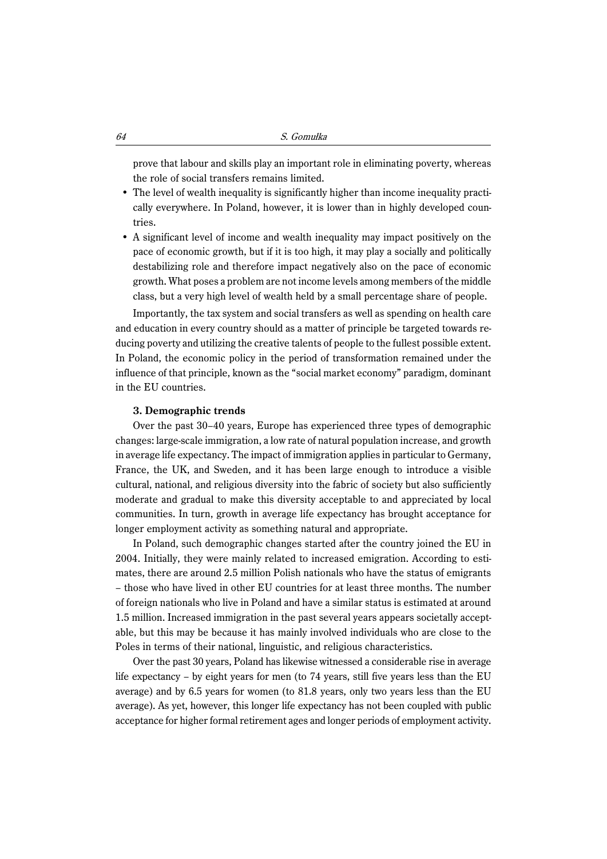prove that labour and skills play an important role in eliminating poverty, whereas the role of social transfers remains limited.

- The level of wealth inequality is significantly higher than income inequality practically everywhere. In Poland, however, it is lower than in highly developed countries.
- A significant level of income and wealth inequality may impact positively on the pace of economic growth, but if it is too high, it may play a socially and politically destabilizing role and therefore impact negatively also on the pace of economic growth. What poses a problem are not income levels among members of the middle class, but a very high level of wealth held by a small percentage share of people.

Importantly, the tax system and social transfers as well as spending on health care and education in every country should as a matter of principle be targeted towards reducing poverty and utilizing the creative talents of people to the fullest possible extent. In Poland, the economic policy in the period of transformation remained under the influence of that principle, known as the "social market economy" paradigm, dominant in the EU countries.

#### **3. Demographic trends**

Over the past 30–40 years, Europe has experienced three types of demographic changes: large-scale immigration, a low rate of natural population increase, and growth in average life expectancy. The impact of immigration applies in particular to Germany, France, the UK, and Sweden, and it has been large enough to introduce a visible cultural, national, and religious diversity into the fabric of society but also sufficiently moderate and gradual to make this diversity acceptable to and appreciated by local communities. In turn, growth in average life expectancy has brought acceptance for longer employment activity as something natural and appropriate.

In Poland, such demographic changes started after the country joined the EU in 2004. Initially, they were mainly related to increased emigration. According to estimates, there are around 2.5 million Polish nationals who have the status of emigrants – those who have lived in other EU countries for at least three months. The number of foreign nationals who live in Poland and have a similar status is estimated at around 1.5 million. Increased immigration in the past several years appears societally acceptable, but this may be because it has mainly involved individuals who are close to the Poles in terms of their national, linguistic, and religious characteristics.

Over the past 30 years, Poland has likewise witnessed a considerable rise in average life expectancy – by eight years for men (to 74 years, still five years less than the EU average) and by 6.5 years for women (to 81.8 years, only two years less than the EU average). As yet, however, this longer life expectancy has not been coupled with public acceptance for higher formal retirement ages and longer periods of employment activity.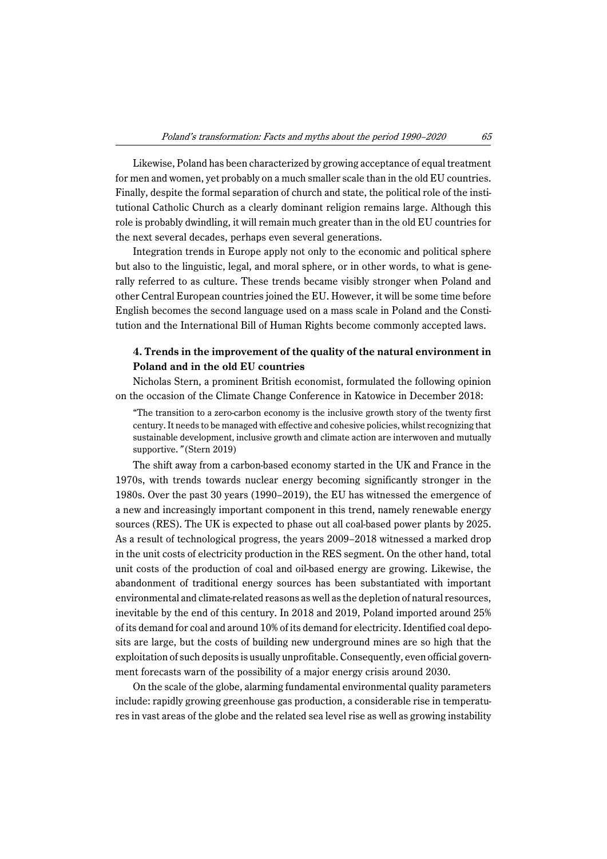Likewise, Poland has been characterized by growing acceptance of equal treatment for men and women, yet probably on a much smaller scale than in the old EU countries. Finally, despite the formal separation of church and state, the political role of the institutional Catholic Church as a clearly dominant religion remains large. Although this role is probably dwindling, it will remain much greater than in the old EU countries for the next several decades, perhaps even several generations.

Integration trends in Europe apply not only to the economic and political sphere but also to the linguistic, legal, and moral sphere, or in other words, to what is generally referred to as culture. These trends became visibly stronger when Poland and other Central European countries joined the EU. However, it will be some time before English becomes the second language used on a mass scale in Poland and the Constitution and the International Bill of Human Rights become commonly accepted laws.

# **4. Trends in the improvement of the quality of the natural environment in Poland and in the old EU countries**

Nicholas Stern, a prominent British economist, formulated the following opinion on the occasion of the Climate Change Conference in Katowice in December 2018:

"The transition to a zero-carbon economy is the inclusive growth story of the twenty first century. It needs to be managed with effective and cohesive policies, whilst recognizing that sustainable development, inclusive growth and climate action are interwoven and mutually supportive." (Stern 2019)

The shift away from a carbon-based economy started in the UK and France in the 1970s, with trends towards nuclear energy becoming significantly stronger in the 1980s. Over the past 30 years (1990–2019), the EU has witnessed the emergence of a new and increasingly important component in this trend, namely renewable energy sources (RES). The UK is expected to phase out all coal-based power plants by 2025. As a result of technological progress, the years 2009–2018 witnessed a marked drop in the unit costs of electricity production in the RES segment. On the other hand, total unit costs of the production of coal and oil-based energy are growing. Likewise, the abandonment of traditional energy sources has been substantiated with important environmental and climate-related reasons as well as the depletion of natural resources, inevitable by the end of this century. In 2018 and 2019, Poland imported around 25% of its demand for coal and around 10% of its demand for electricity. Identified coal deposits are large, but the costs of building new underground mines are so high that the exploitation of such deposits is usually unprofitable. Consequently, even official government forecasts warn of the possibility of a major energy crisis around 2030.

On the scale of the globe, alarming fundamental environmental quality parameters include: rapidly growing greenhouse gas production, a considerable rise in temperatures in vast areas of the globe and the related sea level rise as well as growing instability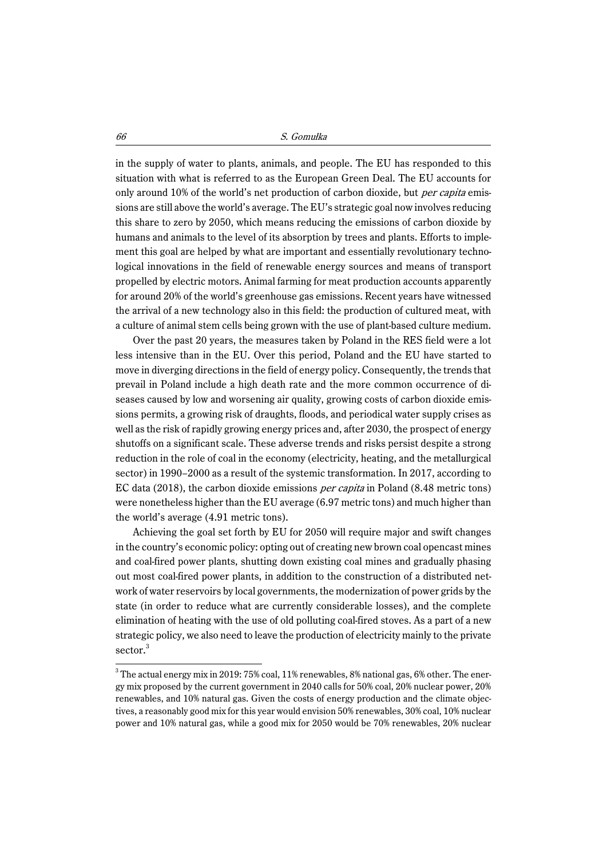in the supply of water to plants, animals, and people. The EU has responded to this situation with what is referred to as the European Green Deal. The EU accounts for only around 10% of the world's net production of carbon dioxide, but per capita emissions are still above the world's average. The EU's strategic goal now involves reducing this share to zero by 2050, which means reducing the emissions of carbon dioxide by humans and animals to the level of its absorption by trees and plants. Efforts to implement this goal are helped by what are important and essentially revolutionary technological innovations in the field of renewable energy sources and means of transport propelled by electric motors. Animal farming for meat production accounts apparently for around 20% of the world's greenhouse gas emissions. Recent years have witnessed the arrival of a new technology also in this field: the production of cultured meat, with a culture of animal stem cells being grown with the use of plant-based culture medium.

Over the past 20 years, the measures taken by Poland in the RES field were a lot less intensive than in the EU. Over this period, Poland and the EU have started to move in diverging directions in the field of energy policy. Consequently, the trends that prevail in Poland include a high death rate and the more common occurrence of diseases caused by low and worsening air quality, growing costs of carbon dioxide emissions permits, a growing risk of draughts, floods, and periodical water supply crises as well as the risk of rapidly growing energy prices and, after 2030, the prospect of energy shutoffs on a significant scale. These adverse trends and risks persist despite a strong reduction in the role of coal in the economy (electricity, heating, and the metallurgical sector) in 1990–2000 as a result of the systemic transformation. In 2017, according to EC data (2018), the carbon dioxide emissions per capita in Poland (8.48 metric tons) were nonetheless higher than the EU average (6.97 metric tons) and much higher than the world's average (4.91 metric tons).

Achieving the goal set forth by EU for 2050 will require major and swift changes in the country's economic policy: opting out of creating new brown coal opencast mines and coal-fired power plants, shutting down existing coal mines and gradually phasing out most coal-fired power plants, in addition to the construction of a distributed network of water reservoirs by local governments, the modernization of power grids by the state (in order to reduce what are currently considerable losses), and the complete elimination of heating with the use of old polluting coal-fired stoves. As a part of a new strategic policy, we also need to leave the production of electricity mainly to the private sector.<sup>3</sup>

 $3$  The actual energy mix in 2019: 75% coal, 11% renewables, 8% national gas, 6% other. The energy mix proposed by the current government in 2040 calls for 50% coal, 20% nuclear power, 20% renewables, and 10% natural gas. Given the costs of energy production and the climate objectives, a reasonably good mix for this year would envision 50% renewables, 30% coal, 10% nuclear power and 10% natural gas, while a good mix for 2050 would be 70% renewables, 20% nuclear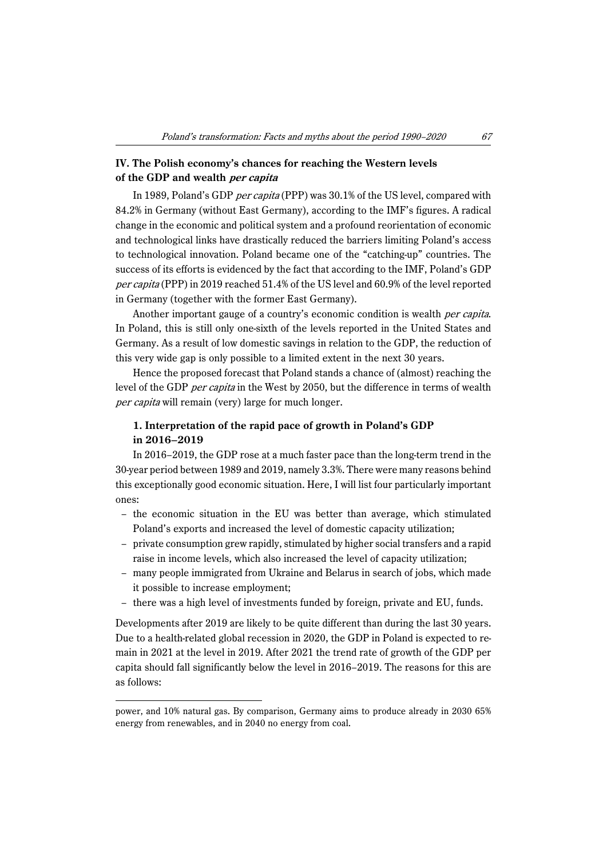# **IV. The Polish economy's chances for reaching the Western levels of the GDP and wealth per capita**

In 1989, Poland's GDP per capita (PPP) was 30.1% of the US level, compared with 84.2% in Germany (without East Germany), according to the IMF's figures. A radical change in the economic and political system and a profound reorientation of economic and technological links have drastically reduced the barriers limiting Poland's access to technological innovation. Poland became one of the "catching-up" countries. The success of its efforts is evidenced by the fact that according to the IMF, Poland's GDP per capita (PPP) in 2019 reached 51.4% of the US level and 60.9% of the level reported in Germany (together with the former East Germany).

Another important gauge of a country's economic condition is wealth *per capita*. In Poland, this is still only one-sixth of the levels reported in the United States and Germany. As a result of low domestic savings in relation to the GDP, the reduction of this very wide gap is only possible to a limited extent in the next 30 years.

Hence the proposed forecast that Poland stands a chance of (almost) reaching the level of the GDP per capita in the West by 2050, but the difference in terms of wealth per capita will remain (very) large for much longer.

# **1. Interpretation of the rapid pace of growth in Poland's GDP in 2016–2019**

In 2016–2019, the GDP rose at a much faster pace than the long-term trend in the 30-year period between 1989 and 2019, namely 3.3%. There were many reasons behind this exceptionally good economic situation. Here, I will list four particularly important ones:

- the economic situation in the EU was better than average, which stimulated Poland's exports and increased the level of domestic capacity utilization;
- private consumption grew rapidly, stimulated by higher social transfers and a rapid raise in income levels, which also increased the level of capacity utilization;
- many people immigrated from Ukraine and Belarus in search of jobs, which made it possible to increase employment;
- there was a high level of investments funded by foreign, private and EU, funds.

Developments after 2019 are likely to be quite different than during the last 30 years. Due to a health-related global recession in 2020, the GDP in Poland is expected to remain in 2021 at the level in 2019. After 2021 the trend rate of growth of the GDP per capita should fall significantly below the level in 2016–2019. The reasons for this are as follows:

power, and 10% natural gas. By comparison, Germany aims to produce already in 2030 65% energy from renewables, and in 2040 no energy from coal.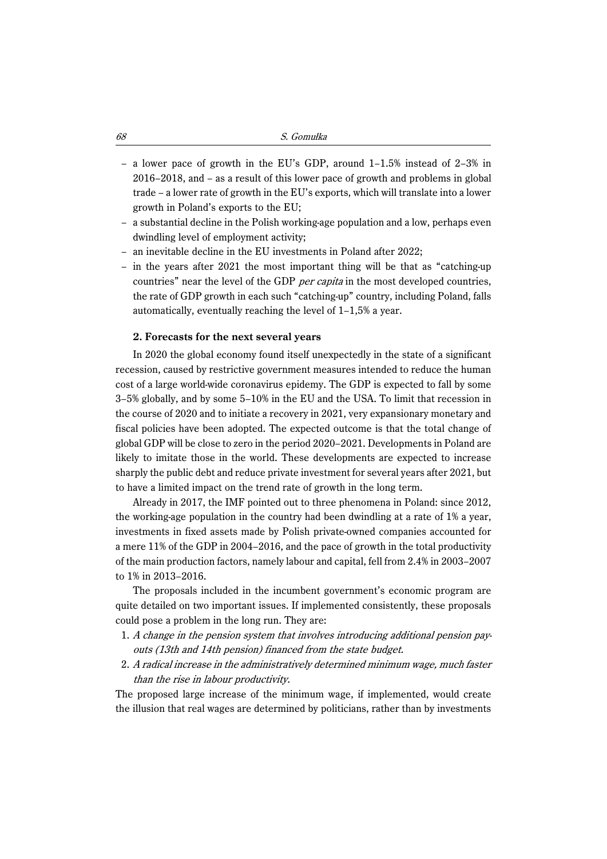- a lower pace of growth in the EU's GDP, around 1–1.5% instead of 2–3% in 2016–2018, and – as a result of this lower pace of growth and problems in global trade – a lower rate of growth in the EU's exports, which will translate into a lower growth in Poland's exports to the EU;
- a substantial decline in the Polish working-age population and a low, perhaps even dwindling level of employment activity;
- an inevitable decline in the EU investments in Poland after 2022;
- in the years after 2021 the most important thing will be that as "catching-up countries" near the level of the GDP *per capita* in the most developed countries, the rate of GDP growth in each such "catching-up" country, including Poland, falls automatically, eventually reaching the level of 1–1,5% a year.

#### **2. Forecasts for the next several years**

In 2020 the global economy found itself unexpectedly in the state of a significant recession, caused by restrictive government measures intended to reduce the human cost of a large world-wide coronavirus epidemy. The GDP is expected to fall by some 3–5% globally, and by some 5–10% in the EU and the USA. To limit that recession in the course of 2020 and to initiate a recovery in 2021, very expansionary monetary and fiscal policies have been adopted. The expected outcome is that the total change of global GDP will be close to zero in the period 2020–2021. Developments in Poland are likely to imitate those in the world. These developments are expected to increase sharply the public debt and reduce private investment for several years after 2021, but to have a limited impact on the trend rate of growth in the long term.

Already in 2017, the IMF pointed out to three phenomena in Poland: since 2012, the working-age population in the country had been dwindling at a rate of 1% a year, investments in fixed assets made by Polish private-owned companies accounted for a mere 11% of the GDP in 2004–2016, and the pace of growth in the total productivity of the main production factors, namely labour and capital, fell from 2.4% in 2003–2007 to 1% in 2013–2016.

The proposals included in the incumbent government's economic program are quite detailed on two important issues. If implemented consistently, these proposals could pose a problem in the long run. They are:

- 1. A change in the pension system that involves introducing additional pension payouts (13th and 14th pension) financed from the state budget.
- 2. A radical increase in the administratively determined minimum wage, much faster than the rise in labour productivity.

The proposed large increase of the minimum wage, if implemented, would create the illusion that real wages are determined by politicians, rather than by investments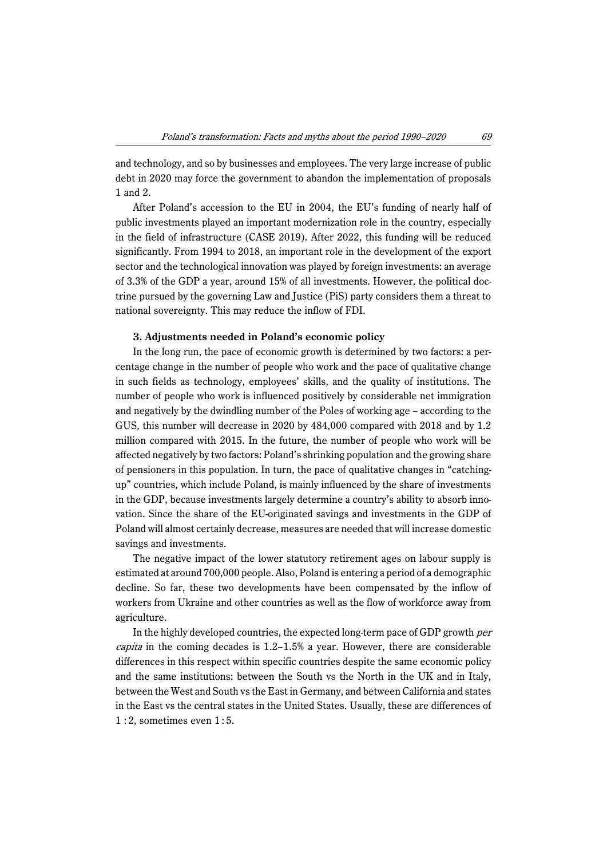and technology, and so by businesses and employees. The very large increase of public debt in 2020 may force the government to abandon the implementation of proposals 1 and 2.

After Poland's accession to the EU in 2004, the EU's funding of nearly half of public investments played an important modernization role in the country, especially in the field of infrastructure (CASE 2019). After 2022, this funding will be reduced significantly. From 1994 to 2018, an important role in the development of the export sector and the technological innovation was played by foreign investments: an average of 3.3% of the GDP a year, around 15% of all investments. However, the political doctrine pursued by the governing Law and Justice (PiS) party considers them a threat to national sovereignty. This may reduce the inflow of FDI.

#### **3. Adjustments needed in Poland's economic policy**

In the long run, the pace of economic growth is determined by two factors: a percentage change in the number of people who work and the pace of qualitative change in such fields as technology, employees' skills, and the quality of institutions. The number of people who work is influenced positively by considerable net immigration and negatively by the dwindling number of the Poles of working age – according to the GUS, this number will decrease in 2020 by 484,000 compared with 2018 and by 1.2 million compared with 2015. In the future, the number of people who work will be affected negatively by two factors: Poland's shrinking population and the growing share of pensioners in this population. In turn, the pace of qualitative changes in "catchingup" countries, which include Poland, is mainly influenced by the share of investments in the GDP, because investments largely determine a country's ability to absorb innovation. Since the share of the EU-originated savings and investments in the GDP of Poland will almost certainly decrease, measures are needed that will increase domestic savings and investments.

The negative impact of the lower statutory retirement ages on labour supply is estimated at around 700,000 people. Also, Poland is entering a period of a demographic decline. So far, these two developments have been compensated by the inflow of workers from Ukraine and other countries as well as the flow of workforce away from agriculture.

In the highly developed countries, the expected long-term pace of GDP growth per *capita* in the coming decades is  $1.2-1.5%$  a year. However, there are considerable differences in this respect within specific countries despite the same economic policy and the same institutions: between the South vs the North in the UK and in Italy, between the West and South vs the East in Germany, and between California and states in the East vs the central states in the United States. Usually, these are differences of  $1:2$ , sometimes even  $1:5$ .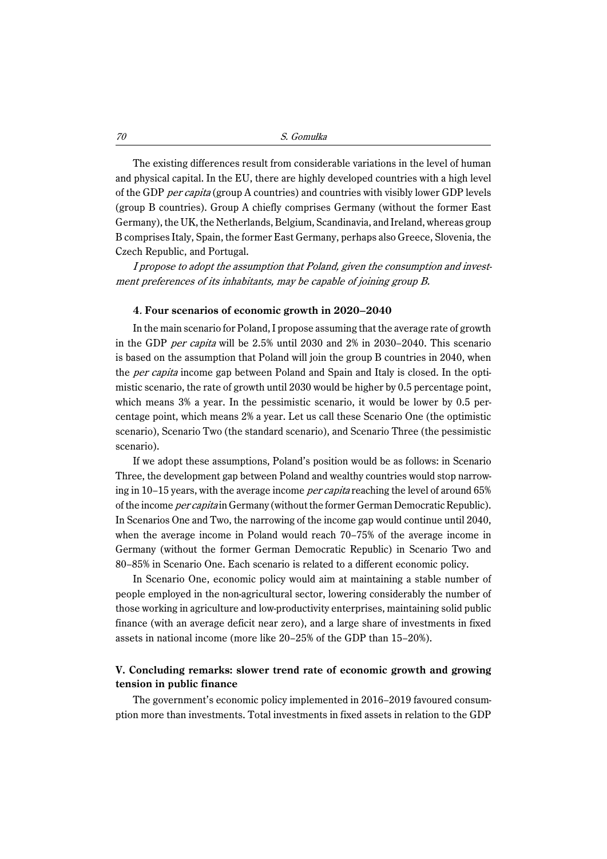The existing differences result from considerable variations in the level of human and physical capital. In the EU, there are highly developed countries with a high level of the GDP per capita (group A countries) and countries with visibly lower GDP levels (group B countries). Group A chiefly comprises Germany (without the former East Germany), the UK, the Netherlands, Belgium, Scandinavia, and Ireland, whereas group B comprises Italy, Spain, the former East Germany, perhaps also Greece, Slovenia, the Czech Republic, and Portugal.

I propose to adopt the assumption that Poland, given the consumption and investment preferences of its inhabitants, may be capable of joining group B.

## **4**. **Four scenarios of economic growth in 2020–2040**

In the main scenario for Poland, I propose assuming that the average rate of growth in the GDP per capita will be 2.5% until 2030 and 2% in 2030–2040. This scenario is based on the assumption that Poland will join the group B countries in 2040, when the *per capita* income gap between Poland and Spain and Italy is closed. In the optimistic scenario, the rate of growth until 2030 would be higher by 0.5 percentage point, which means 3% a year. In the pessimistic scenario, it would be lower by 0.5 percentage point, which means 2% a year. Let us call these Scenario One (the optimistic scenario), Scenario Two (the standard scenario), and Scenario Three (the pessimistic scenario).

If we adopt these assumptions, Poland's position would be as follows: in Scenario Three, the development gap between Poland and wealthy countries would stop narrowing in 10–15 years, with the average income *per capita* reaching the level of around 65% of the income *per capita* in Germany (without the former German Democratic Republic). In Scenarios One and Two, the narrowing of the income gap would continue until 2040, when the average income in Poland would reach 70–75% of the average income in Germany (without the former German Democratic Republic) in Scenario Two and 80–85% in Scenario One. Each scenario is related to a different economic policy.

In Scenario One, economic policy would aim at maintaining a stable number of people employed in the non-agricultural sector, lowering considerably the number of those working in agriculture and low-productivity enterprises, maintaining solid public finance (with an average deficit near zero), and a large share of investments in fixed assets in national income (more like 20–25% of the GDP than 15–20%).

## **V. Concluding remarks: slower trend rate of economic growth and growing tension in public finance**

The government's economic policy implemented in 2016–2019 favoured consumption more than investments. Total investments in fixed assets in relation to the GDP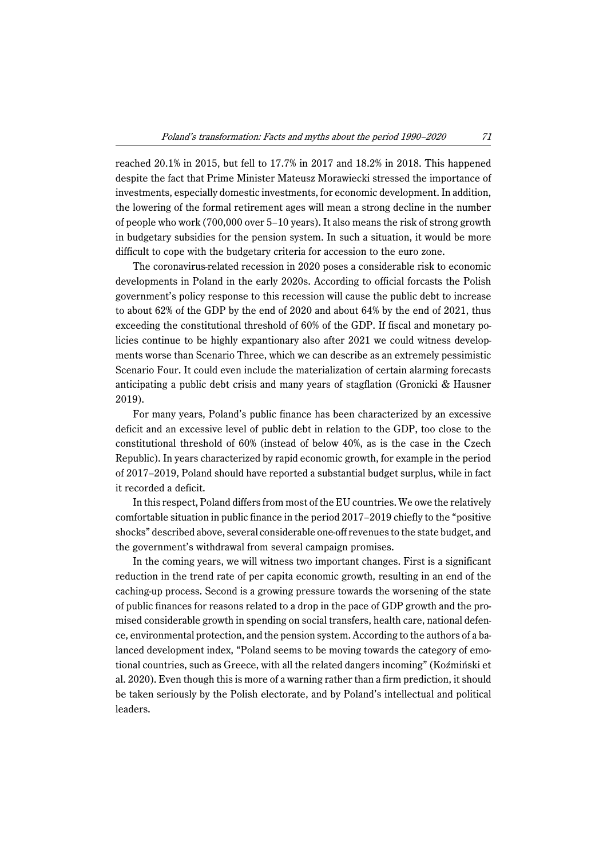reached 20.1% in 2015, but fell to 17.7% in 2017 and 18.2% in 2018. This happened despite the fact that Prime Minister Mateusz Morawiecki stressed the importance of investments, especially domestic investments, for economic development. In addition, the lowering of the formal retirement ages will mean a strong decline in the number of people who work (700,000 over 5–10 years). It also means the risk of strong growth in budgetary subsidies for the pension system. In such a situation, it would be more difficult to cope with the budgetary criteria for accession to the euro zone.

The coronavirus-related recession in 2020 poses a considerable risk to economic developments in Poland in the early 2020s. According to official forcasts the Polish government's policy response to this recession will cause the public debt to increase to about 62% of the GDP by the end of 2020 and about 64% by the end of 2021, thus exceeding the constitutional threshold of 60% of the GDP. If fiscal and monetary policies continue to be highly expantionary also after 2021 we could witness developments worse than Scenario Three, which we can describe as an extremely pessimistic Scenario Four. It could even include the materialization of certain alarming forecasts anticipating a public debt crisis and many years of stagflation (Gronicki & Hausner 2019).

For many years, Poland's public finance has been characterized by an excessive deficit and an excessive level of public debt in relation to the GDP, too close to the constitutional threshold of 60% (instead of below 40%, as is the case in the Czech Republic). In years characterized by rapid economic growth, for example in the period of 2017–2019, Poland should have reported a substantial budget surplus, while in fact it recorded a deficit.

In this respect, Poland differs from most of the EU countries. We owe the relatively comfortable situation in public finance in the period 2017–2019 chiefly to the "positive shocks" described above, several considerable one-off revenues to the state budget, and the government's withdrawal from several campaign promises.

In the coming years, we will witness two important changes. First is a significant reduction in the trend rate of per capita economic growth, resulting in an end of the caching-up process. Second is a growing pressure towards the worsening of the state of public finances for reasons related to a drop in the pace of GDP growth and the promised considerable growth in spending on social transfers, health care, national defence, environmental protection, and the pension system. According to the authors of a balanced development index, "Poland seems to be moving towards the category of emotional countries, such as Greece, with all the related dangers incoming" (Koźmiński et al. 2020). Even though this is more of a warning rather than a firm prediction, it should be taken seriously by the Polish electorate, and by Poland's intellectual and political leaders.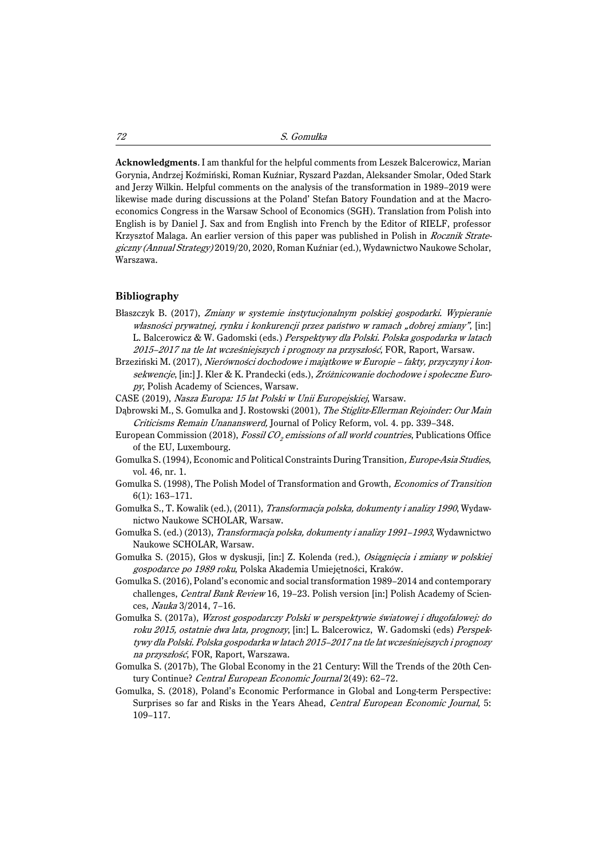**Acknowledgments**. I am thankful for the helpful comments from Leszek Balcerowicz, Marian Gorynia, Andrzej Koźmiński, Roman Kuźniar, Ryszard Pazdan, Aleksander Smolar, Oded Stark and Jerzy Wilkin. Helpful comments on the analysis of the transformation in 1989–2019 were likewise made during discussions at the Poland' Stefan Batory Foundation and at the Macroeconomics Congress in the Warsaw School of Economics (SGH). Translation from Polish into English is by Daniel J. Sax and from English into French by the Editor of RIELF, professor Krzysztof Malaga. An earlier version of this paper was published in Polish in Rocznik Strategiczny (Annual Strategy) 2019/20, 2020, Roman Kuźniar (ed.), Wydawnictwo Naukowe Scholar, Warszawa.

#### **Bibliography**

- Błaszczyk B. (2017), Zmiany w systemie instytucjonalnym polskiej gospodarki. Wypieranie własności prywatnej, rynku i konkurencji przez państwo w ramach "dobrej zmiany", [in:] L. Balcerowicz & W. Gadomski (eds.) Perspektywy dla Polski. Polska gospodarka w latach 2015–2017 na tle lat wcześniejszych i prognozy na przyszłość, FOR, Raport, Warsaw.
- Brzeziński M. (2017), Nierówności dochodowe i majątkowe w Europie fakty, przyczyny i konsekwencje, [in:] J. Kler & K. Prandecki (eds.), Zróżnicowanie dochodowe i społeczne Europy, Polish Academy of Sciences, Warsaw.
- CASE (2019), Nasza Europa: 15 lat Polski w Unii Europejskiej, Warsaw.
- Dąbrowski M., S. Gomulka and J. Rostowski (2001), The Stiglitz-Ellerman Rejoinder: Our Main Criticisms Remain Unananswerd, Journal of Policy Reform, vol. 4. pp. 339–348.
- European Commission (2018), Fossil CO<sub>2</sub> emissions of all world countries, Publications Office of the EU, Luxembourg.
- Gomulka S. (1994), Economic and Political Constraints During Transition, Europe-Asia Studies, vol. 46, nr. 1.
- Gomulka S. (1998), The Polish Model of Transformation and Growth, Economics of Transition 6(1): 163–171.
- Gomułka S., T. Kowalik (ed.), (2011), Transformacja polska, dokumenty i analizy 1990, Wydawnictwo Naukowe SCHOLAR, Warsaw.
- Gomułka S. (ed.) (2013), Transformacja polska, dokumenty i analizy 1991–1993, Wydawnictwo Naukowe SCHOLAR, Warsaw.
- Gomułka S. (2015), Głos w dyskusji, [in:] Z. Kolenda (red.), Osiągnięcia i zmiany w polskiej gospodarce po 1989 roku, Polska Akademia Umiejętności, Kraków.
- Gomulka S. (2016), Poland's economic and social transformation 1989–2014 and contemporary challenges, Central Bank Review 16, 19–23. Polish version [in:] Polish Academy of Sciences, Nauka 3/2014, 7–16.
- Gomułka S. (2017a), Wzrost gospodarczy Polski w perspektywie światowej i długofalowej: do roku 2015, ostatnie dwa lata, prognozy, [in:] L. Balcerowicz, W. Gadomski (eds) Perspektywy dla Polski. Polska gospodarka w latach 2015–2017 na tle lat wcześniejszych i prognozy na przyszłość, FOR, Raport, Warszawa.
- Gomulka S. (2017b), The Global Economy in the 21 Century: Will the Trends of the 20th Century Continue? Central European Economic Journal 2(49): 62–72.
- Gomulka, S. (2018), Poland's Economic Performance in Global and Long-term Perspective: Surprises so far and Risks in the Years Ahead, Central European Economic Journal, 5: 109–117.